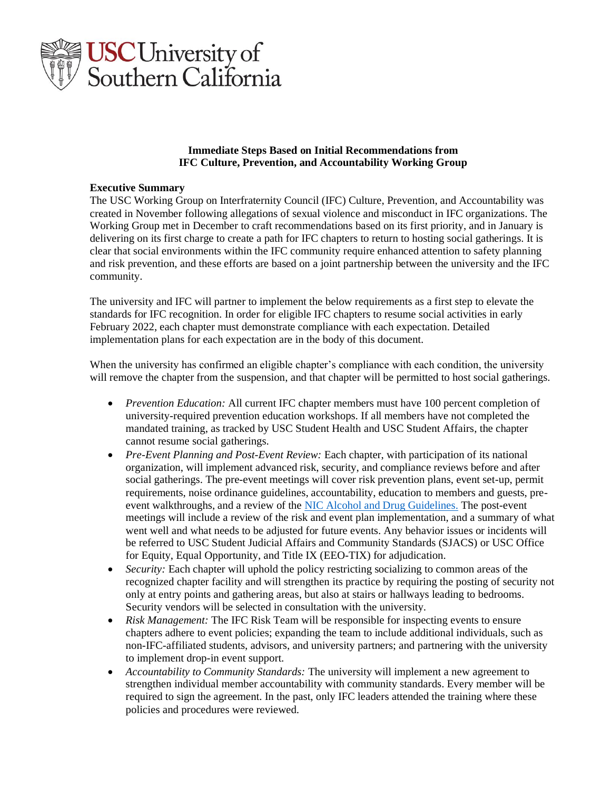

## **Immediate Steps Based on Initial Recommendations from IFC Culture, Prevention, and Accountability Working Group**

### **Executive Summary**

The USC Working Group on Interfraternity Council (IFC) Culture, Prevention, and Accountability was created in November following allegations of sexual violence and misconduct in IFC organizations. The Working Group met in December to craft recommendations based on its first priority, and in January is delivering on its first charge to create a path for IFC chapters to return to hosting social gatherings. It is clear that social environments within the IFC community require enhanced attention to safety planning and risk prevention, and these efforts are based on a joint partnership between the university and the IFC community.

The university and IFC will partner to implement the below requirements as a first step to elevate the standards for IFC recognition. In order for eligible IFC chapters to resume social activities in early February 2022, each chapter must demonstrate compliance with each expectation. Detailed implementation plans for each expectation are in the body of this document.

When the university has confirmed an eligible chapter's compliance with each condition, the university will remove the chapter from the suspension, and that chapter will be permitted to host social gatherings.

- *Prevention Education:* All current IFC chapter members must have 100 percent completion of university-required prevention education workshops. If all members have not completed the mandated training, as tracked by USC Student Health and USC Student Affairs, the chapter cannot resume social gatherings.
- *Pre-Event Planning and Post-Event Review:* Each chapter, with participation of its national organization, will implement advanced risk, security, and compliance reviews before and after social gatherings. The pre-event meetings will cover risk prevention plans, event set-up, permit requirements, noise ordinance guidelines, accountability, education to members and guests, pre-event walkthroughs, and a review of the [NIC Alcohol and Drug Guidelines.](https://nicfraternity.org/nic-alcohol-drug-guidelines/) The post-event meetings will include a review of the risk and event plan implementation, and a summary of what went well and what needs to be adjusted for future events. Any behavior issues or incidents will be referred to USC Student Judicial Affairs and Community Standards (SJACS) or USC Office for Equity, Equal Opportunity, and Title IX (EEO-TIX) for adjudication.
- *Security:* Each chapter will uphold the policy restricting socializing to common areas of the recognized chapter facility and will strengthen its practice by requiring the posting of security not only at entry points and gathering areas, but also at stairs or hallways leading to bedrooms. Security vendors will be selected in consultation with the university.
- *Risk Management:* The IFC Risk Team will be responsible for inspecting events to ensure chapters adhere to event policies; expanding the team to include additional individuals, such as non-IFC-affiliated students, advisors, and university partners; and partnering with the university to implement drop-in event support.
- *Accountability to Community Standards:* The university will implement a new agreement to strengthen individual member accountability with community standards. Every member will be required to sign the agreement. In the past, only IFC leaders attended the training where these policies and procedures were reviewed.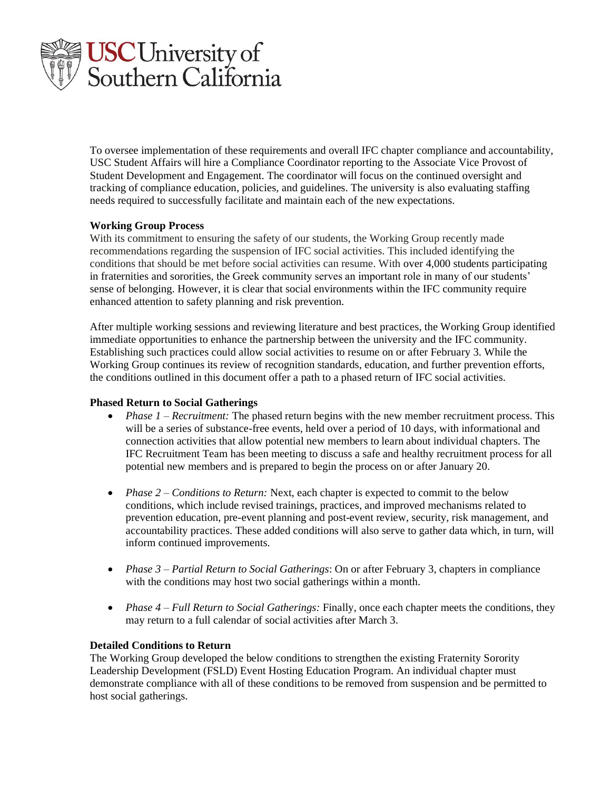

To oversee implementation of these requirements and overall IFC chapter compliance and accountability, USC Student Affairs will hire a Compliance Coordinator reporting to the Associate Vice Provost of Student Development and Engagement. The coordinator will focus on the continued oversight and tracking of compliance education, policies, and guidelines. The university is also evaluating staffing needs required to successfully facilitate and maintain each of the new expectations.

## **Working Group Process**

With its commitment to ensuring the safety of our students, the Working Group recently made recommendations regarding the suspension of IFC social activities. This included identifying the conditions that should be met before social activities can resume. With over 4,000 students participating in fraternities and sororities, the Greek community serves an important role in many of our students' sense of belonging. However, it is clear that social environments within the IFC community require enhanced attention to safety planning and risk prevention.

After multiple working sessions and reviewing literature and best practices, the Working Group identified immediate opportunities to enhance the partnership between the university and the IFC community. Establishing such practices could allow social activities to resume on or after February 3. While the Working Group continues its review of recognition standards, education, and further prevention efforts, the conditions outlined in this document offer a path to a phased return of IFC social activities.

## **Phased Return to Social Gatherings**

- *Phase 1 Recruitment:* The phased return begins with the new member recruitment process. This will be a series of substance-free events, held over a period of 10 days, with informational and connection activities that allow potential new members to learn about individual chapters. The IFC Recruitment Team has been meeting to discuss a safe and healthy recruitment process for all potential new members and is prepared to begin the process on or after January 20.
- *Phase 2 Conditions to Return:* Next, each chapter is expected to commit to the below conditions, which include revised trainings, practices, and improved mechanisms related to prevention education, pre-event planning and post-event review, security, risk management, and accountability practices. These added conditions will also serve to gather data which, in turn, will inform continued improvements.
- *Phase 3 – Partial Return to Social Gatherings*: On or after February 3, chapters in compliance with the conditions may host two social gatherings within a month.
- *Phase 4 Full Return to Social Gatherings:* Finally, once each chapter meets the conditions, they may return to a full calendar of social activities after March 3.

#### **Detailed Conditions to Return**

The Working Group developed the below conditions to strengthen the existing Fraternity Sorority Leadership Development (FSLD) Event Hosting Education Program. An individual chapter must demonstrate compliance with all of these conditions to be removed from suspension and be permitted to host social gatherings.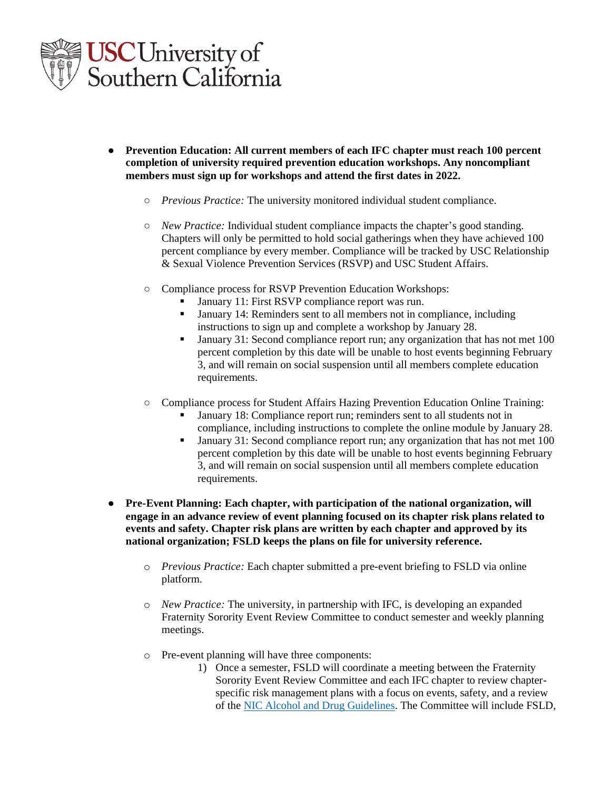

- **Prevention Education: All current members of each IFC chapter must reach 100 percent completion of university required prevention education workshops. Any noncompliant members must sign up for workshops and attend the first dates in 2022.**
	- *Previous Practice:* The university monitored individual student compliance.
	- *New Practice:* Individual student compliance impacts the chapter's good standing. Chapters will only be permitted to hold social gatherings when they have achieved 100 percent compliance by every member. Compliance will be tracked by USC Relationship & Sexual Violence Prevention Services (RSVP) and USC Student Affairs.
	- Compliance process for RSVP Prevention Education Workshops:
		- January 11: First RSVP compliance report was run.
		- January 14: Reminders sent to all members not in compliance, including instructions to sign up and complete a workshop by January 28.
		- January 31: Second compliance report run; any organization that has not met 100 percent completion by this date will be unable to host events beginning February 3, and will remain on social suspension until all members complete education requirements.
	- Compliance process for Student Affairs Hazing Prevention Education Online Training:
		- January 18: Compliance report run; reminders sent to all students not in compliance, including instructions to complete the online module by January 28.
		- January 31: Second compliance report run; any organization that has not met 100 percent completion by this date will be unable to host events beginning February 3, and will remain on social suspension until all members complete education requirements.
- **Pre-Event Planning: Each chapter, with participation of the national organization, will engage in an advance review of event planning focused on its chapter risk plans related to events and safety. Chapter risk plans are written by each chapter and approved by its national organization; FSLD keeps the plans on file for university reference.**
	- o *Previous Practice:* Each chapter submitted a pre-event briefing to FSLD via online platform.
	- o *New Practice:* The university, in partnership with IFC, is developing an expanded Fraternity Sorority Event Review Committee to conduct semester and weekly planning meetings.
	- o Pre-event planning will have three components:
		- 1) Once a semester, FSLD will coordinate a meeting between the Fraternity Sorority Event Review Committee and each IFC chapter to review chapterspecific risk management plans with a focus on events, safety, and a review of the [NIC Alcohol and Drug Guidelines.](https://nicfraternity.org/nic-alcohol-drug-guidelines/) The Committee will include FSLD,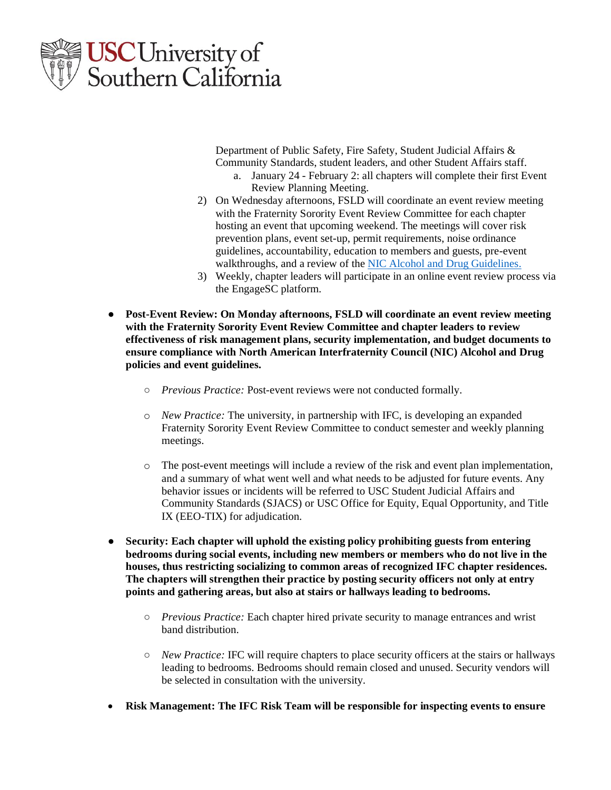

Department of Public Safety, Fire Safety, Student Judicial Affairs & Community Standards, student leaders, and other Student Affairs staff.

- a. January 24 February 2: all chapters will complete their first Event Review Planning Meeting.
- 2) On Wednesday afternoons, FSLD will coordinate an event review meeting with the Fraternity Sorority Event Review Committee for each chapter hosting an event that upcoming weekend. The meetings will cover risk prevention plans, event set-up, permit requirements, noise ordinance guidelines, accountability, education to members and guests, pre-event walkthroughs, and a review of the [NIC Alcohol and Drug Guidelines.](https://nicfraternity.org/nic-alcohol-drug-guidelines/)
- 3) Weekly, chapter leaders will participate in an online event review process via the EngageSC platform.
- **Post-Event Review: On Monday afternoons, FSLD will coordinate an event review meeting with the Fraternity Sorority Event Review Committee and chapter leaders to review effectiveness of risk management plans, security implementation, and budget documents to ensure compliance with North American Interfraternity Council (NIC) Alcohol and Drug policies and event guidelines.** 
	- *Previous Practice:* Post-event reviews were not conducted formally.
	- o *New Practice:* The university, in partnership with IFC, is developing an expanded Fraternity Sorority Event Review Committee to conduct semester and weekly planning meetings.
	- o The post-event meetings will include a review of the risk and event plan implementation, and a summary of what went well and what needs to be adjusted for future events. Any behavior issues or incidents will be referred to USC Student Judicial Affairs and Community Standards (SJACS) or USC Office for Equity, Equal Opportunity, and Title IX (EEO-TIX) for adjudication.
- **Security: Each chapter will uphold the existing policy prohibiting guests from entering bedrooms during social events, including new members or members who do not live in the houses, thus restricting socializing to common areas of recognized IFC chapter residences. The chapters will strengthen their practice by posting security officers not only at entry points and gathering areas, but also at stairs or hallways leading to bedrooms.**
	- *Previous Practice:* Each chapter hired private security to manage entrances and wrist band distribution.
	- *New Practice:* IFC will require chapters to place security officers at the stairs or hallways leading to bedrooms. Bedrooms should remain closed and unused. Security vendors will be selected in consultation with the university.
- **Risk Management: The IFC Risk Team will be responsible for inspecting events to ensure**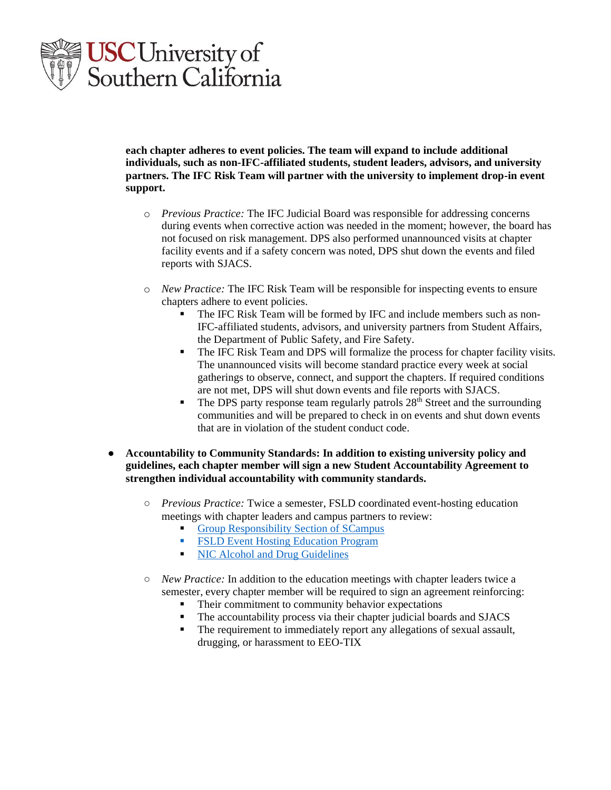

**each chapter adheres to event policies. The team will expand to include additional individuals, such as non-IFC-affiliated students, student leaders, advisors, and university partners. The IFC Risk Team will partner with the university to implement drop-in event support.**

- o *Previous Practice:* The IFC Judicial Board was responsible for addressing concerns during events when corrective action was needed in the moment; however, the board has not focused on risk management. DPS also performed unannounced visits at chapter facility events and if a safety concern was noted, DPS shut down the events and filed reports with SJACS.
- o *New Practice:* The IFC Risk Team will be responsible for inspecting events to ensure chapters adhere to event policies.
	- The IFC Risk Team will be formed by IFC and include members such as non-IFC-affiliated students, advisors, and university partners from Student Affairs, the Department of Public Safety, and Fire Safety.
	- The IFC Risk Team and DPS will formalize the process for chapter facility visits. The unannounced visits will become standard practice every week at social gatherings to observe, connect, and support the chapters. If required conditions are not met, DPS will shut down events and file reports with SJACS.
	- **•** The DPS party response team regularly patrols  $28<sup>th</sup>$  Street and the surrounding communities and will be prepared to check in on events and shut down events that are in violation of the student conduct code.
- **Accountability to Community Standards: In addition to existing university policy and guidelines, each chapter member will sign a new Student Accountability Agreement to strengthen individual accountability with community standards.** 
	- *Previous Practice:* Twice a semester, FSLD coordinated event-hosting education meetings with chapter leaders and campus partners to review:
		- [Group Responsibility Section of SCampus](https://policy.usc.edu/wp-content/uploads/2021/08/SCampus-Part-G-Recognized-Student-Organizations.pdf)
		- **FSLD Event [Hosting Education Program](https://greeklife.usc.edu/wp-content/uploads/sites/2/2021/08/FINAL-USC-FSLD-Event-Hosting-Education-Program-2021-2022.pdf)**
		- [NIC Alcohol and Drug Guidelines](https://nicfraternity.org/nic-alcohol-drug-guidelines/)
	- *New Practice:* In addition to the education meetings with chapter leaders twice a semester, every chapter member will be required to sign an agreement reinforcing:
		- Their commitment to community behavior expectations
		- The accountability process via their chapter judicial boards and SJACS
		- The requirement to immediately report any allegations of sexual assault, drugging, or harassment to EEO-TIX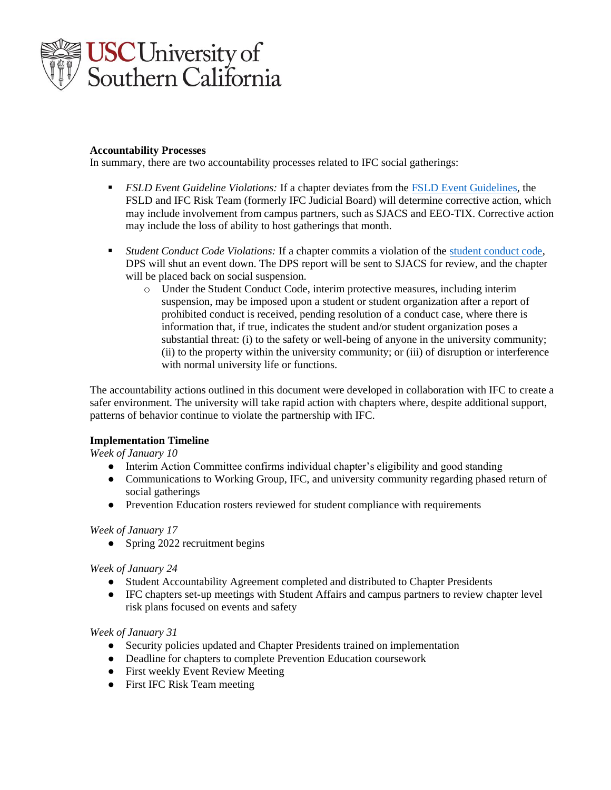

### **Accountability Processes**

In summary, there are two accountability processes related to IFC social gatherings:

- *FSLD Event Guideline Violations:* If a chapter deviates from the [FSLD Event Guidelines,](https://greeklife.usc.edu/wp-content/uploads/sites/2/2021/08/FINAL-USC-FSLD-Event-Hosting-Education-Program-2021-2022.pdf) the FSLD and IFC Risk Team (formerly IFC Judicial Board) will determine corrective action, which may include involvement from campus partners, such as SJACS and EEO-TIX. Corrective action may include the loss of ability to host gatherings that month.
- *Student Conduct Code Violations:* If a chapter commits a violation of the [student conduct code,](https://policy.usc.edu/wp-content/uploads/2021/04/SCampus-Part-B.pdf) DPS will shut an event down. The DPS report will be sent to SJACS for review, and the chapter will be placed back on social suspension.
	- o Under the Student Conduct Code, interim protective measures, including interim suspension, may be imposed upon a student or student organization after a report of prohibited conduct is received, pending resolution of a conduct case, where there is information that, if true, indicates the student and/or student organization poses a substantial threat: (i) to the safety or well-being of anyone in the university community; (ii) to the property within the university community; or (iii) of disruption or interference with normal university life or functions.

The accountability actions outlined in this document were developed in collaboration with IFC to create a safer environment. The university will take rapid action with chapters where, despite additional support, patterns of behavior continue to violate the partnership with IFC.

## **Implementation Timeline**

*Week of January 10*

- Interim Action Committee confirms individual chapter's eligibility and good standing
- Communications to Working Group, IFC, and university community regarding phased return of social gatherings
- Prevention Education rosters reviewed for student compliance with requirements

#### *Week of January 17*

• Spring 2022 recruitment begins

## *Week of January 24*

- Student Accountability Agreement completed and distributed to Chapter Presidents
- IFC chapters set-up meetings with Student Affairs and campus partners to review chapter level risk plans focused on events and safety

#### *Week of January 31*

- Security policies updated and Chapter Presidents trained on implementation
- Deadline for chapters to complete Prevention Education coursework
- First weekly Event Review Meeting
- First IFC Risk Team meeting